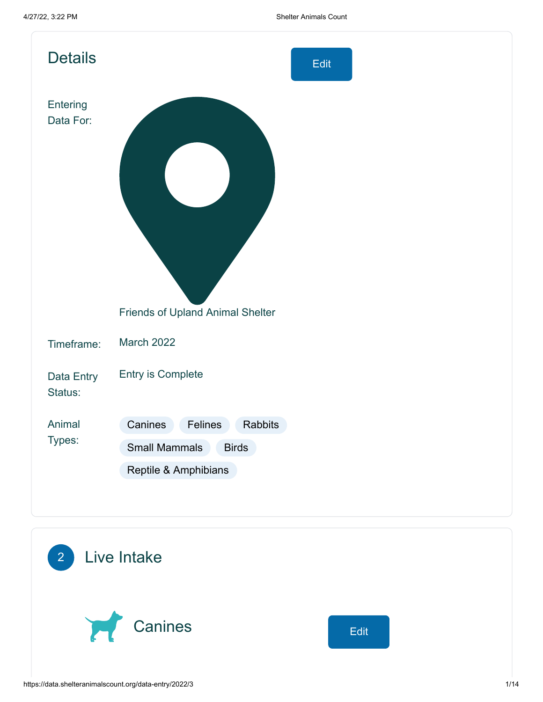| <b>Details</b>        | Edit                                                                                          |
|-----------------------|-----------------------------------------------------------------------------------------------|
| Entering<br>Data For: |                                                                                               |
|                       | Friends of Upland Animal Shelter                                                              |
| Timeframe:            | March 2022                                                                                    |
| Data Entry<br>Status: | <b>Entry is Complete</b>                                                                      |
| Animal<br>Types:      | Canines<br>Felines<br>Rabbits<br><b>Small Mammals</b><br><b>Birds</b><br>Reptile & Amphibians |

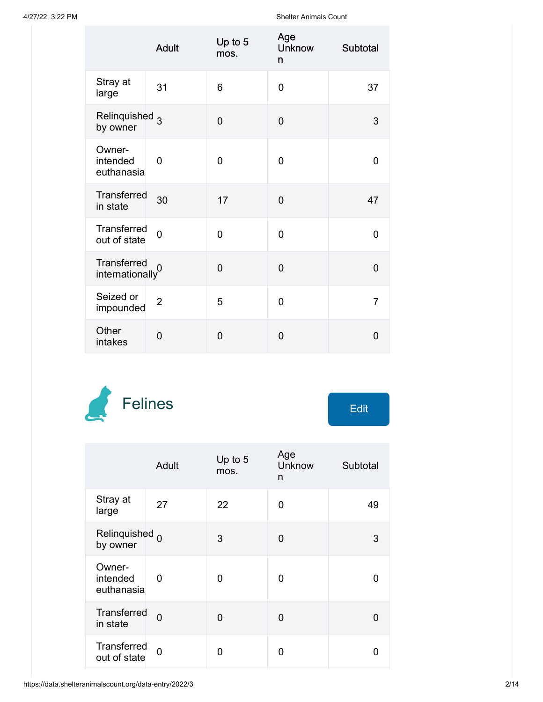|                                              | <b>Adult</b>   | Up to 5<br>mos. | Age<br><b>Unknow</b><br>n | Subtotal       |
|----------------------------------------------|----------------|-----------------|---------------------------|----------------|
| Stray at<br>large                            | 31             | 6               | $\overline{0}$            | 37             |
| Relinquished <sub>3</sub><br>by owner        |                | $\overline{0}$  | $\overline{0}$            | 3              |
| Owner-<br>intended<br>euthanasia             | $\overline{0}$ | $\overline{0}$  | $\overline{0}$            | 0              |
| Transferred<br>in state                      | 30             | 17              | $\overline{0}$            | 47             |
| Transferred<br>out of state                  | $\overline{0}$ | $\overline{0}$  | $\overline{0}$            | 0              |
| Transferred<br>$\frac{1}{2}$ internationally |                | $\overline{0}$  | $\overline{0}$            | $\overline{0}$ |
| Seized or<br>impounded                       | $\overline{2}$ | 5               | $\overline{0}$            | $\overline{7}$ |
| Other<br>intakes                             | 0              | $\overline{0}$  | $\overline{0}$            | $\overline{0}$ |



|                                       | Adult          | Up to 5<br>mos. | Age<br><b>Unknow</b><br>n | Subtotal |
|---------------------------------------|----------------|-----------------|---------------------------|----------|
| Stray at<br>large                     | 27             | 22              | 0                         | 49       |
| Relinquished <sub>0</sub><br>by owner |                | 3               | 0                         | 3        |
| Owner-<br>intended<br>euthanasia      | 0              | 0               | O                         | O        |
| <b>Transferred</b><br>in state        | $\overline{0}$ | 0               | 0                         | O        |
| Transferred<br>out of state           | $\overline{0}$ | 0               | ი                         | O        |

https://data.shelteranimalscount.org/data-entry/2022/3 2/14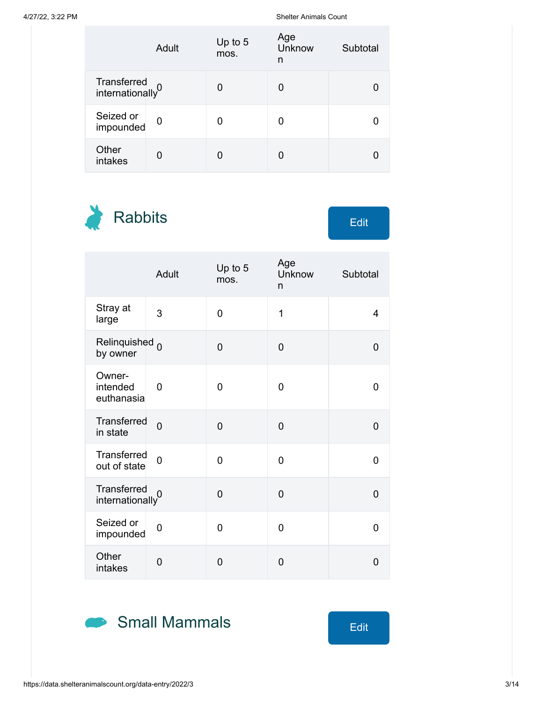|                                             | Adult          | Up to 5<br>mos. | Age<br><b>Unknow</b><br>n | Subtotal |
|---------------------------------------------|----------------|-----------------|---------------------------|----------|
| Transferred<br>internationally <sup>0</sup> |                | O               | 0                         |          |
| Seized or<br>impounded                      | $\overline{0}$ |                 | 0                         |          |
| Other<br>intakes                            | U              |                 |                           |          |

Rabbits Edit

|                                       | Adult          | Up to 5<br>mos. | Age<br>Unknow<br>n | Subtotal       |
|---------------------------------------|----------------|-----------------|--------------------|----------------|
| Stray at<br>large                     | 3              | 0               | 1                  | 4              |
| Relinquished <sub>0</sub><br>by owner |                | $\overline{0}$  | $\overline{0}$     | 0              |
| Owner-<br>intended<br>euthanasia      | 0              | 0               | 0                  | 0              |
| Transferred<br>in state               | $\overline{0}$ | $\overline{0}$  | 0                  | $\overline{0}$ |
| Transferred<br>out of state           | $\overline{0}$ | 0               | $\overline{0}$     | 0              |
| Transferred<br>internationally        | $\overline{0}$ | $\overline{0}$  | $\overline{0}$     | $\overline{0}$ |
| Seized or<br>impounded                | 0              | 0               | $\overline{0}$     | 0              |
| Other<br>intakes                      | $\overline{0}$ | $\overline{0}$  | $\overline{0}$     | $\overline{0}$ |

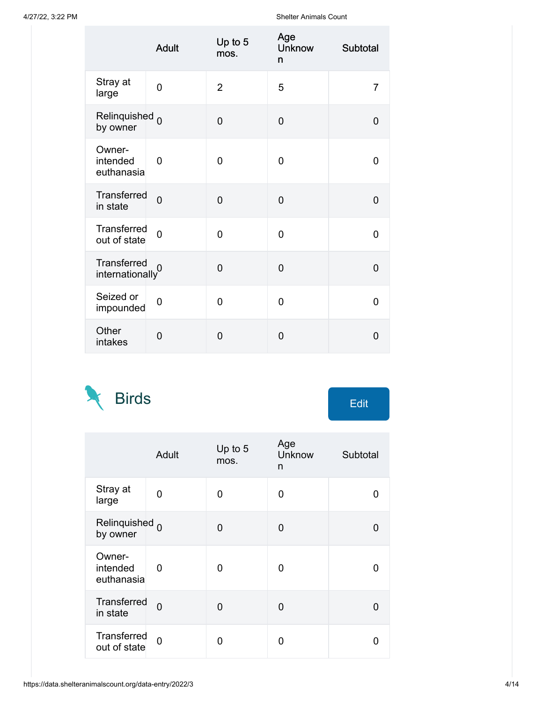|                                               | <b>Adult</b>   | Up to 5<br>mos. | Age<br><b>Unknow</b><br>n | Subtotal       |
|-----------------------------------------------|----------------|-----------------|---------------------------|----------------|
| Stray at<br>large                             | $\overline{0}$ | $\overline{2}$  | 5                         | $\overline{7}$ |
| Relinquished <sub>0</sub><br>by owner         |                | $\overline{0}$  | $\overline{0}$            | $\overline{0}$ |
| Owner-<br>intended<br>euthanasia              | $\overline{0}$ | $\overline{0}$  | 0                         | $\overline{0}$ |
| Transferred<br>in state                       | $\overline{0}$ | $\overline{0}$  | $\overline{0}$            | $\overline{0}$ |
| Transferred<br>out of state                   | $\overline{0}$ | $\overline{0}$  | $\overline{0}$            | $\overline{0}$ |
| Transferred<br>industerred<br>internationally |                | $\overline{0}$  | $\overline{0}$            | $\overline{0}$ |
| Seized or<br>impounded                        | $\overline{0}$ | $\overline{0}$  | $\Omega$                  | $\overline{0}$ |
| Other<br>intakes                              | $\overline{0}$ | $\overline{0}$  | 0                         | $\overline{0}$ |



|                                       | Adult          | Up to 5<br>mos. | Age<br>Unknow<br>n | Subtotal |
|---------------------------------------|----------------|-----------------|--------------------|----------|
| Stray at<br>large                     | 0              | 0               | O                  | O        |
| Relinquished <sub>0</sub><br>by owner |                | 0               | O                  | U        |
| Owner-<br>intended<br>euthanasia      | 0              | 0               | O                  | ŋ        |
| Transferred<br>in state               | $\Omega$       | 0               | 0                  | O        |
| Transferred<br>out of state           | $\overline{0}$ | 0               | ŋ                  | O        |

https://data.shelteranimalscount.org/data-entry/2022/3 4/14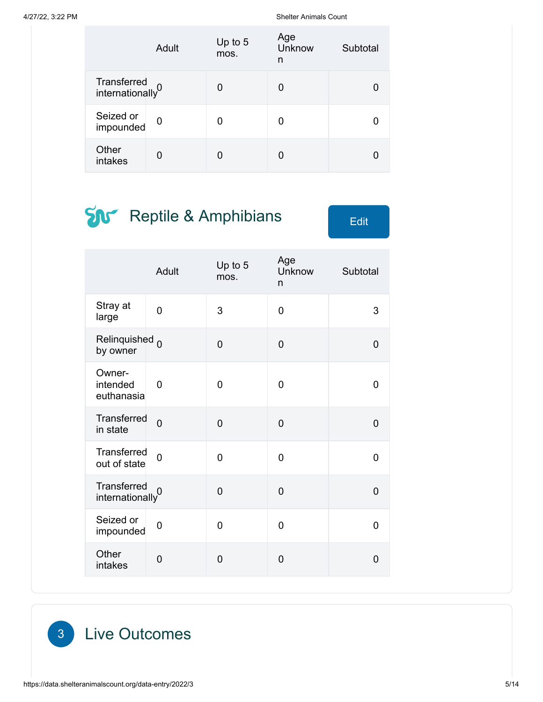|                                | Adult | Up to 5<br>mos. | Age<br>Unknow<br>n | Subtotal |
|--------------------------------|-------|-----------------|--------------------|----------|
| Transferred<br>internationally |       |                 | 0                  |          |
| Seized or<br>impounded         | 0     | ŋ               | 0                  |          |
| Other<br>intakes               |       |                 |                    |          |

# **SN** Reptile & Amphibians Edit

|                                             | Adult          | Up to 5<br>mos. | Age<br>Unknow<br>n | Subtotal       |
|---------------------------------------------|----------------|-----------------|--------------------|----------------|
| Stray at<br>large                           | $\overline{0}$ | 3               | 0                  | 3              |
| Relinquished <sub>0</sub><br>by owner       |                | $\overline{0}$  | 0                  | 0              |
| Owner-<br>intended<br>euthanasia            | 0              | 0               | 0                  | 0              |
| Transferred<br>in state                     | $\overline{0}$ | $\mathbf 0$     | $\overline{0}$     | 0              |
| Transferred<br>out of state                 | $\overline{0}$ | $\overline{0}$  | 0                  | $\overline{0}$ |
| Transferred<br>internationally <sup>0</sup> |                | 0               | 0                  | $\overline{0}$ |
| Seized or<br>impounded                      | 0              | 0               | $\overline{0}$     | $\overline{0}$ |
| Other<br>intakes                            | $\overline{0}$ | $\overline{0}$  | $\overline{0}$     | $\overline{0}$ |

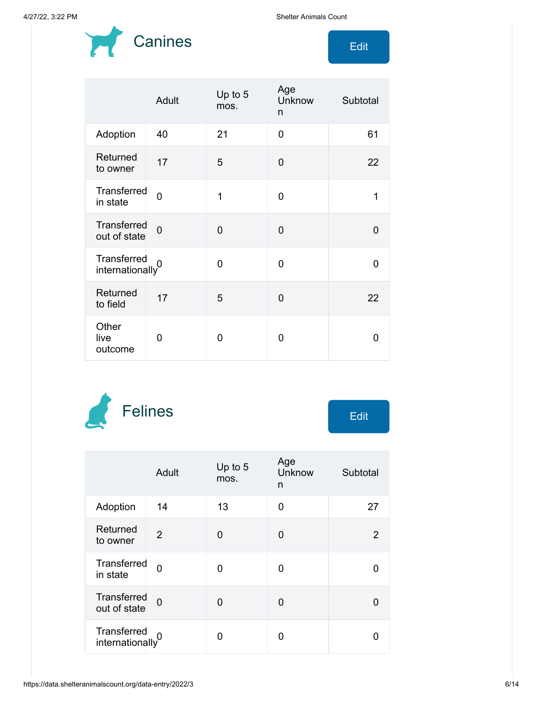

|                                    | Adult          | Up to 5<br>mos. | Age<br>Unknow<br>n | Subtotal |
|------------------------------------|----------------|-----------------|--------------------|----------|
| Adoption                           | 40             | 21              | 0                  | 61       |
| Returned<br>to owner               | 17             | 5               | $\mathbf 0$        | 22       |
| Transferred<br>in state            | $\Omega$       | 1               | $\Omega$           | 1        |
| <b>Transferred</b><br>out of state | $\overline{0}$ | $\overline{0}$  | $\Omega$           | 0        |
| Transferred<br>internationally     | $\mathbf 0$    | $\overline{0}$  | $\Omega$           | 0        |
| Returned<br>to field               | 17             | 5               | 0                  | 22       |
| Other<br>live<br>outcome           | 0              | O               | O                  | O        |



|                                             | Adult    | Up to 5<br>mos. | Age<br>Unknow<br>n | Subtotal |
|---------------------------------------------|----------|-----------------|--------------------|----------|
| Adoption                                    | 14       | 13              | 0                  | 27       |
| Returned<br>to owner                        | 2        | 0               | 0                  | 2        |
| Transferred<br>in state                     | $\Omega$ | U               | O                  |          |
| Transferred<br>out of state                 | $\Omega$ | 0               | 0                  |          |
| Transferred<br>internationally <sup>0</sup> |          | ი               | ი                  |          |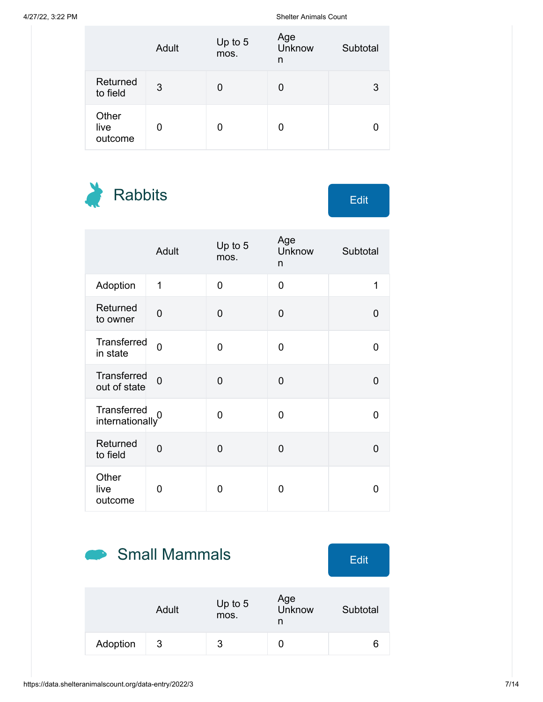|                          | Adult | Up to 5<br>mos. | Age<br>Unknow<br>n | Subtotal |
|--------------------------|-------|-----------------|--------------------|----------|
| Returned<br>to field     | 3     |                 | 0                  | 3        |
| Other<br>live<br>outcome | 0     |                 | 0                  |          |

Rabbits Edit

|                                    | Adult          | Up to 5<br>mos. | Age<br>Unknow<br>n | Subtotal       |
|------------------------------------|----------------|-----------------|--------------------|----------------|
| Adoption                           | 1              | $\overline{0}$  | $\overline{0}$     | 1              |
| Returned<br>to owner               | $\overline{0}$ | $\overline{0}$  | $\overline{0}$     | 0              |
| Transferred<br>in state            | $\overline{0}$ | 0               | 0                  | 0              |
| <b>Transferred</b><br>out of state | $\Omega$       | $\overline{0}$  | 0                  | $\overline{0}$ |
| Transferred<br>internationally     | 0              | 0               | 0                  | 0              |
| Returned<br>to field               | $\overline{0}$ | $\overline{0}$  | 0                  | 0              |
| Other<br>live<br>outcome           | 0              | 0               | 0                  | 0              |

### Small Mammals Edit

|          | Adult | Up to 5<br>$m$ os. | Age<br>Unknow | Subtotal |
|----------|-------|--------------------|---------------|----------|
| Adoption | 3     | 3                  |               |          |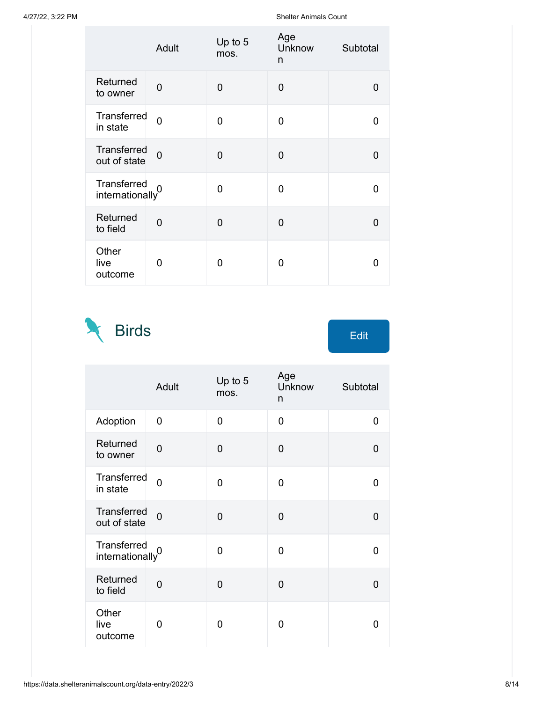|                                       | Adult          | Up to 5<br>mos. | Age<br>Unknow<br>n | Subtotal     |
|---------------------------------------|----------------|-----------------|--------------------|--------------|
| Returned<br>to owner                  | 0              | $\mathbf 0$     | $\mathbf 0$        | 0            |
| Transferred<br>in state               | $\overline{0}$ | 0               | 0                  | 0            |
| <b>Transferred</b><br>out of state    | $\overline{0}$ | $\Omega$        | $\Omega$           | 0            |
| <b>Transferred</b><br>internationally |                | $\Omega$        | 0                  | O            |
| Returned<br>to field                  | $\overline{0}$ | $\Omega$        | $\Omega$           | O            |
| Other<br>live<br>outcome              | 0              | 0               | 0                  | $\mathbf{I}$ |

Birds Edit  $\sqrt{2}$ 

|                                             | Adult          | Up to 5<br>mos. | Age<br>Unknow<br>n | Subtotal       |
|---------------------------------------------|----------------|-----------------|--------------------|----------------|
| Adoption                                    | $\overline{0}$ | $\overline{0}$  | 0                  | $\overline{0}$ |
| Returned<br>to owner                        | $\overline{0}$ | 0               | 0                  | $\overline{0}$ |
| Transferred<br>in state                     | $\overline{0}$ | 0               | 0                  | $\overline{0}$ |
| Transferred<br>out of state                 | $\overline{0}$ | 0               | 0                  | 0              |
| Transferred<br>internationally <sup>0</sup> |                | 0               | 0                  | 0              |
| Returned<br>to field                        | $\overline{0}$ | 0               | 0                  | $\Omega$       |
| Other<br>live<br>outcome                    | 0              | 0               | 0                  | O              |

https://data.shelteranimalscount.org/data-entry/2022/3 8/14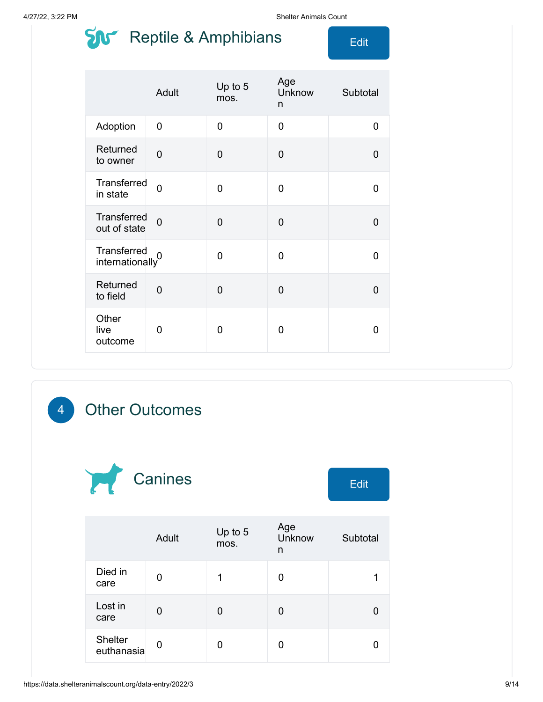### $\sum_{i=1}^{n}$  Reptile & Amphibians  $\sum_{i=1}^{n}$

|                                             | Adult          | Up to 5<br>mos. | Age<br>Unknow<br>n | Subtotal |
|---------------------------------------------|----------------|-----------------|--------------------|----------|
| Adoption                                    | 0              | $\overline{0}$  | 0                  | 0        |
| Returned<br>to owner                        | $\overline{0}$ | $\overline{0}$  | $\overline{0}$     | 0        |
| Transferred<br>in state                     | $\Omega$       | $\overline{0}$  | 0                  | 0        |
| Transferred<br>out of state                 | $\Omega$       | $\overline{0}$  | $\overline{0}$     | $\Omega$ |
| Transferred<br>internationally <sup>0</sup> |                | $\overline{0}$  | 0                  | 0        |
| Returned<br>to field                        | $\overline{0}$ | $\overline{0}$  | 0                  | 0        |
| Other<br>live<br>outcome                    | 0              | 0               | 0                  | 0        |

### 4 Other Outcomes



|                       | Adult | Up to 5<br>mos. | Age<br><b>Unknow</b><br>n | Subtotal |
|-----------------------|-------|-----------------|---------------------------|----------|
| Died in<br>care       | 0     | 1               | 0                         |          |
| Lost in<br>care       | 0     | 0               | 0                         |          |
| Shelter<br>euthanasia | 0     | 0               | Ω                         |          |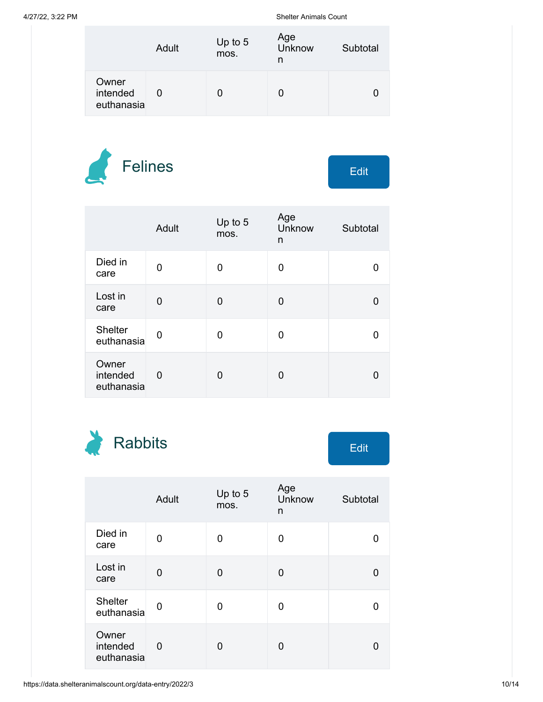|                                 | Adult | Up to $5$<br>mos. | Age<br>Unknow<br>n | Subtotal |
|---------------------------------|-------|-------------------|--------------------|----------|
| Owner<br>intended<br>euthanasia |       |                   |                    |          |





|                                 | Adult    | Up to 5<br>mos. | Age<br>Unknow<br>n | Subtotal |
|---------------------------------|----------|-----------------|--------------------|----------|
| Died in<br>care                 | O        | 0               | O                  |          |
| Lost in<br>care                 | $\Omega$ | 0               | 0                  |          |
| <b>Shelter</b><br>euthanasia    | 0        | 0               | 0                  |          |
| Owner<br>intended<br>euthanasia | 0        | 0               | 0                  |          |



|                                 | Adult | Up to 5<br>mos. | Age<br>Unknow<br>n | Subtotal |
|---------------------------------|-------|-----------------|--------------------|----------|
| Died in<br>care                 | 0     | 0               | 0                  |          |
| Lost in<br>care                 | 0     | 0               | 0                  |          |
| <b>Shelter</b><br>euthanasia    | 0     | 0               | 0                  |          |
| Owner<br>intended<br>euthanasia | 0     | 0               | 0                  |          |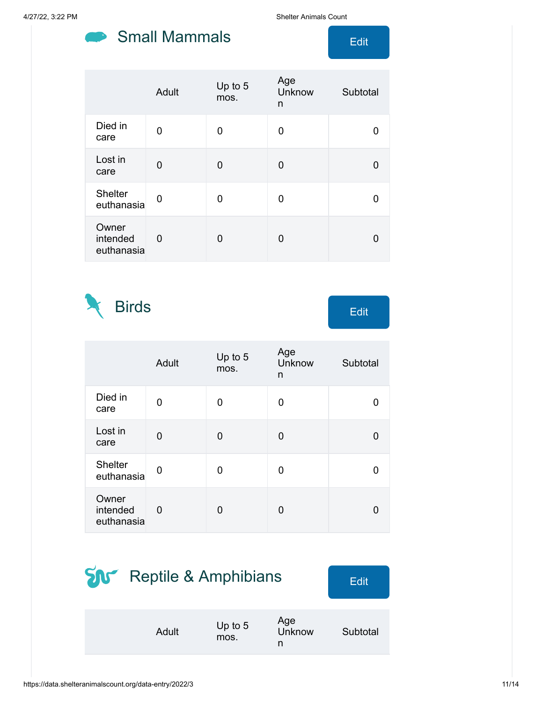### Small Mammals **Edit**

4/27/22, 3:22 PM Shelter Animals Count

|                                 | Adult | Up to 5<br>mos. | Age<br>Unknow<br>n | Subtotal |
|---------------------------------|-------|-----------------|--------------------|----------|
| Died in<br>care                 | 0     | 0               | 0                  |          |
| Lost in<br>care                 | 0     | 0               | 0                  |          |
| <b>Shelter</b><br>euthanasia    | 0     | 0               | O                  |          |
| Owner<br>intended<br>euthanasia | 0     | 0               | 0                  |          |

Birds Edit

|                                 | Adult | Up to 5<br>mos. | Age<br><b>Unknow</b><br>n | Subtotal |
|---------------------------------|-------|-----------------|---------------------------|----------|
| Died in<br>care                 | 0     | 0               | 0                         | O        |
| Lost in<br>care                 | 0     | 0               | 0                         | O        |
| <b>Shelter</b><br>euthanasia    | 0     | 0               | 0                         | U        |
| Owner<br>intended<br>euthanasia | 0     | 0               | U                         | O        |

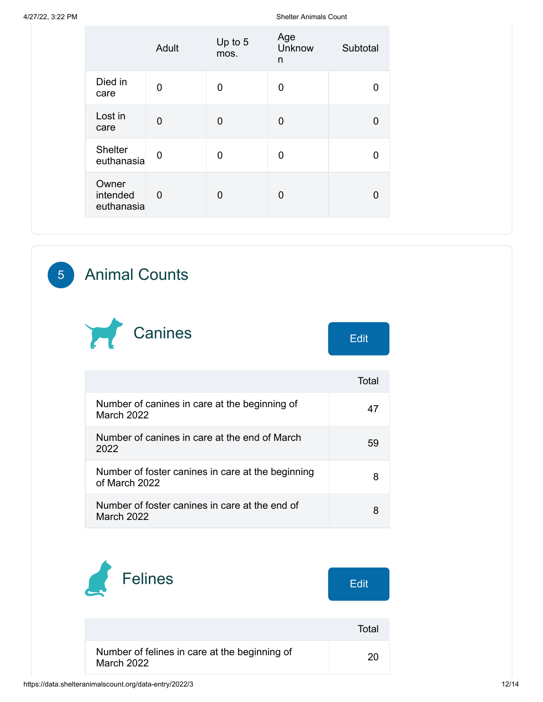|                                 | Adult          | Up to 5<br>mos. | Age<br>Unknow<br>n | Subtotal |
|---------------------------------|----------------|-----------------|--------------------|----------|
| Died in<br>care                 | 0              | O               | 0                  | 0        |
| Lost in<br>care                 | 0              | 0               | 0                  | 0        |
| Shelter<br>euthanasia           | 0              | 0               | 0                  | 0        |
| Owner<br>intended<br>euthanasia | $\overline{0}$ | 0               | 0                  | 0        |

#### 5 Animal Counts



|                                                                    | Total |
|--------------------------------------------------------------------|-------|
| Number of canines in care at the beginning of<br>March 2022        | 47    |
| Number of canines in care at the end of March<br>2022              | 59    |
| Number of foster canines in care at the beginning<br>of March 2022 |       |
| Number of foster canines in care at the end of<br>March 2022       |       |

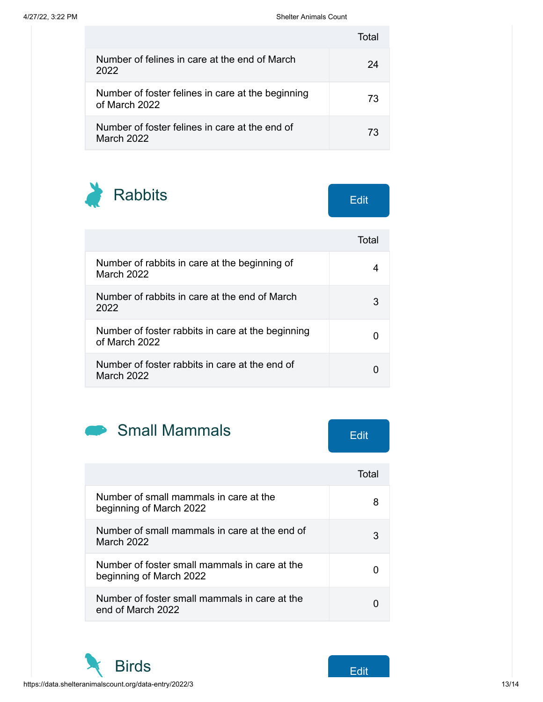|                                                                    | Total |
|--------------------------------------------------------------------|-------|
| Number of felines in care at the end of March<br>2022              | 24    |
| Number of foster felines in care at the beginning<br>of March 2022 | 73    |
| Number of foster felines in care at the end of<br>March 2022       | 73    |

 $\blacktriangleright$ Rabbits Edit

|                                                                    | Total |
|--------------------------------------------------------------------|-------|
| Number of rabbits in care at the beginning of<br>March 2022        |       |
| Number of rabbits in care at the end of March<br>2022              |       |
| Number of foster rabbits in care at the beginning<br>of March 2022 |       |
| Number of foster rabbits in care at the end of<br>March 2022       |       |



|                                                                          | lota |
|--------------------------------------------------------------------------|------|
| Number of small mammals in care at the<br>beginning of March 2022        |      |
| Number of small mammals in care at the end of<br>March 2022              |      |
| Number of foster small mammals in care at the<br>beginning of March 2022 |      |
| Number of foster small mammals in care at the<br>end of March 2022       |      |